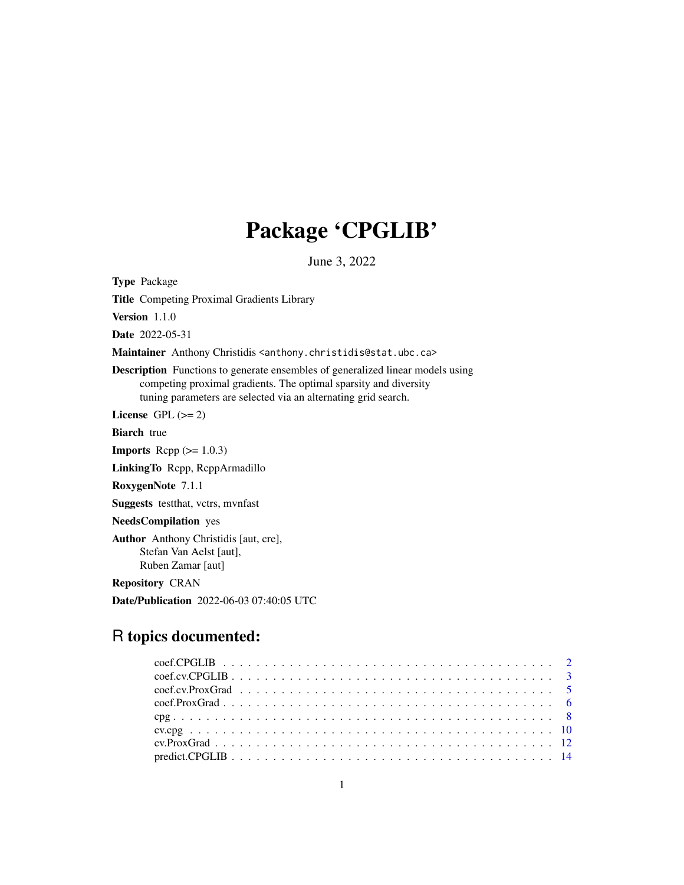## Package 'CPGLIB'

June 3, 2022

Type Package

Title Competing Proximal Gradients Library

Version 1.1.0

Date 2022-05-31

Maintainer Anthony Christidis <anthony.christidis@stat.ubc.ca>

Description Functions to generate ensembles of generalized linear models using competing proximal gradients. The optimal sparsity and diversity tuning parameters are selected via an alternating grid search.

License GPL  $(>= 2)$ 

Biarch true

**Imports** Rcpp  $(>= 1.0.3)$ 

LinkingTo Rcpp, RcppArmadillo

RoxygenNote 7.1.1

Suggests testthat, vctrs, mvnfast

NeedsCompilation yes

Author Anthony Christidis [aut, cre], Stefan Van Aelst [aut], Ruben Zamar [aut]

Repository CRAN

Date/Publication 2022-06-03 07:40:05 UTC

## R topics documented: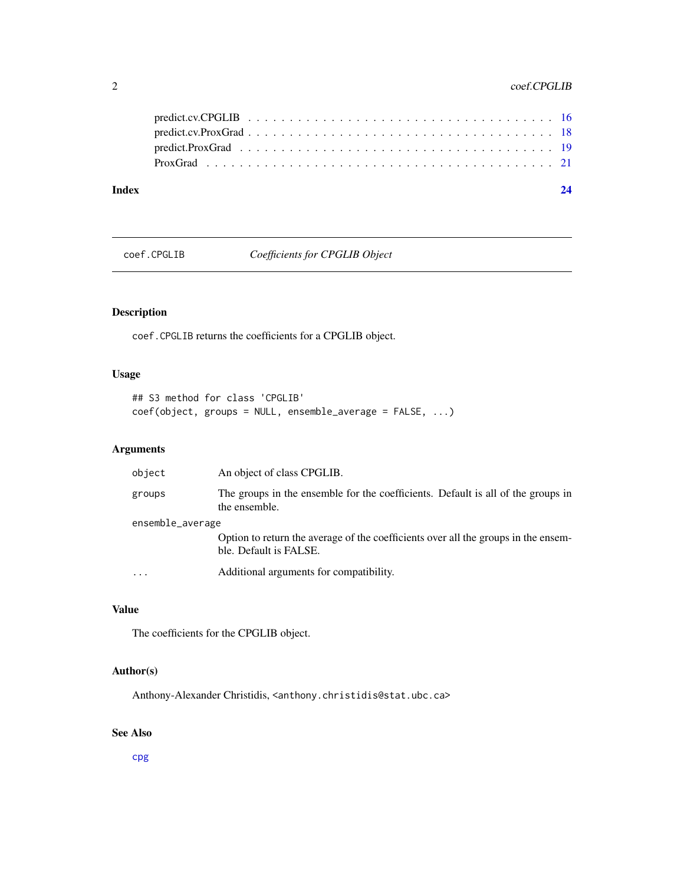## <span id="page-1-0"></span>2 coef.CPGLIB

#### **Index** [24](#page-23-0)

<span id="page-1-1"></span>coef.CPGLIB *Coefficients for CPGLIB Object*

## Description

coef.CPGLIB returns the coefficients for a CPGLIB object.

## Usage

```
## S3 method for class 'CPGLIB'
coef(object, groups = NULL, ensemble_average = FALSE, ...)
```
## Arguments

| object           | An object of class CPGLIB.                                                                                   |
|------------------|--------------------------------------------------------------------------------------------------------------|
| groups           | The groups in the ensemble for the coefficients. Default is all of the groups in<br>the ensemble.            |
| ensemble_average |                                                                                                              |
|                  | Option to return the average of the coefficients over all the groups in the ensem-<br>ble. Default is FALSE. |
| $\ddotsc$        | Additional arguments for compatibility.                                                                      |

## Value

The coefficients for the CPGLIB object.

## Author(s)

Anthony-Alexander Christidis, <anthony.christidis@stat.ubc.ca>

## See Also

[cpg](#page-7-1)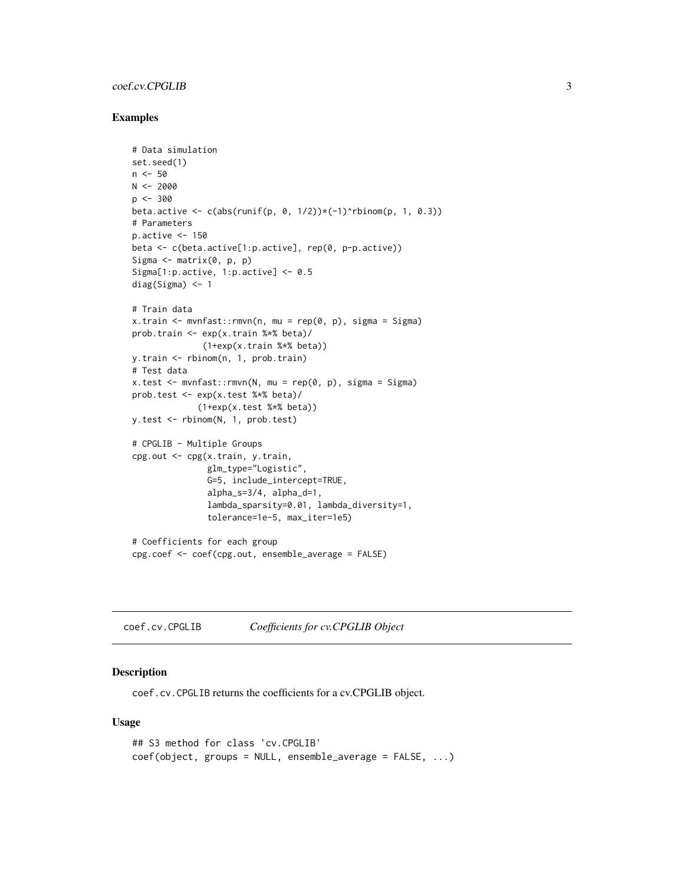## <span id="page-2-0"></span>coef.cv.CPGLIB 3

#### Examples

```
# Data simulation
set.seed(1)
n < -50N < -2000p <- 300
beta.active \leq c(abs(runif(p, 0, 1/2))*(-1)^rbinom(p, 1, 0.3))
# Parameters
p.active \leq -150beta <- c(beta.active[1:p.active], rep(0, p-p.active))
Sigma \leq matrix(0, p, p)
Sigma[1:p.active, 1:p.active] <- 0.5
diag(Sigma) <- 1
# Train data
x.train <- mvnfast::rmvn(n, mu = rep(0, p), sigma = Sigma)
prob.train <- exp(x.train %*% beta)/
              (1+exp(x.train %*% beta))
y.train <- rbinom(n, 1, prob.train)
# Test data
x.test < - mvnfast::rmvn(N, mu = rep(0, p), sigma = Signa)prob.test <- exp(x.test %*% beta)/
             (1+exp(x.test %*% beta))
y.test <- rbinom(N, 1, prob.test)
# CPGLIB - Multiple Groups
cpg.out <- cpg(x.train, y.train,
               glm_type="Logistic",
               G=5, include_intercept=TRUE,
               alpha_s=3/4, alpha_d=1,
               lambda_sparsity=0.01, lambda_diversity=1,
               tolerance=1e-5, max_iter=1e5)
# Coefficients for each group
cpg.coef <- coef(cpg.out, ensemble_average = FALSE)
```
<span id="page-2-1"></span>coef.cv.CPGLIB *Coefficients for cv.CPGLIB Object*

#### Description

coef.cv.CPGLIB returns the coefficients for a cv.CPGLIB object.

#### Usage

```
## S3 method for class 'cv.CPGLIB'
coef(object, groups = NULL, ensemble_average = FALSE, ...)
```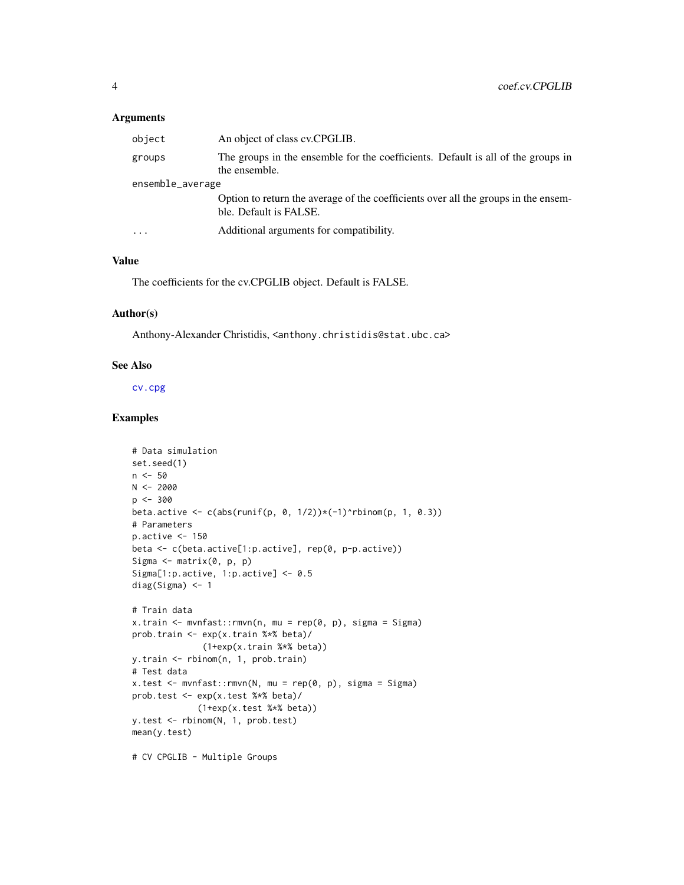#### <span id="page-3-0"></span>Arguments

| object           | An object of class cv.CPGLIB.                                                                                |
|------------------|--------------------------------------------------------------------------------------------------------------|
| groups           | The groups in the ensemble for the coefficients. Default is all of the groups in<br>the ensemble.            |
| ensemble_average |                                                                                                              |
|                  | Option to return the average of the coefficients over all the groups in the ensem-<br>ble. Default is FALSE. |
| .                | Additional arguments for compatibility.                                                                      |

## Value

The coefficients for the cv.CPGLIB object. Default is FALSE.

## Author(s)

Anthony-Alexander Christidis, <anthony.christidis@stat.ubc.ca>

#### See Also

[cv.cpg](#page-9-1)

#### Examples

```
# Data simulation
set.seed(1)
n <- 50
N < -2000p <- 300
beta.active \leq c(abs(runif(p, 0, 1/2))\star(-1)^rbinom(p, 1, 0.3))
# Parameters
p.active <- 150
beta <- c(beta.active[1:p.active], rep(0, p-p.active))
Sigma \leq matrix(0, p, p)
Sigma[1:p.active, 1:p.active] <- 0.5
diag(Sigma) <- 1
# Train data
x.train <- mvnfast::rmvn(n, mu = rep(0, p), sigma = Sigma)
prob.train <- exp(x.train %*% beta)/
              (1+exp(x.train %*% beta))
y.train <- rbinom(n, 1, prob.train)
# Test data
x.test <- mvnfast::rmvn(N, mu = rep(0, p), sigma = Sigma)
prob.test <- exp(x.test %*% beta)/
             (1+exp(x.test %*% beta))
y.test <- rbinom(N, 1, prob.test)
mean(y.test)
```
# CV CPGLIB - Multiple Groups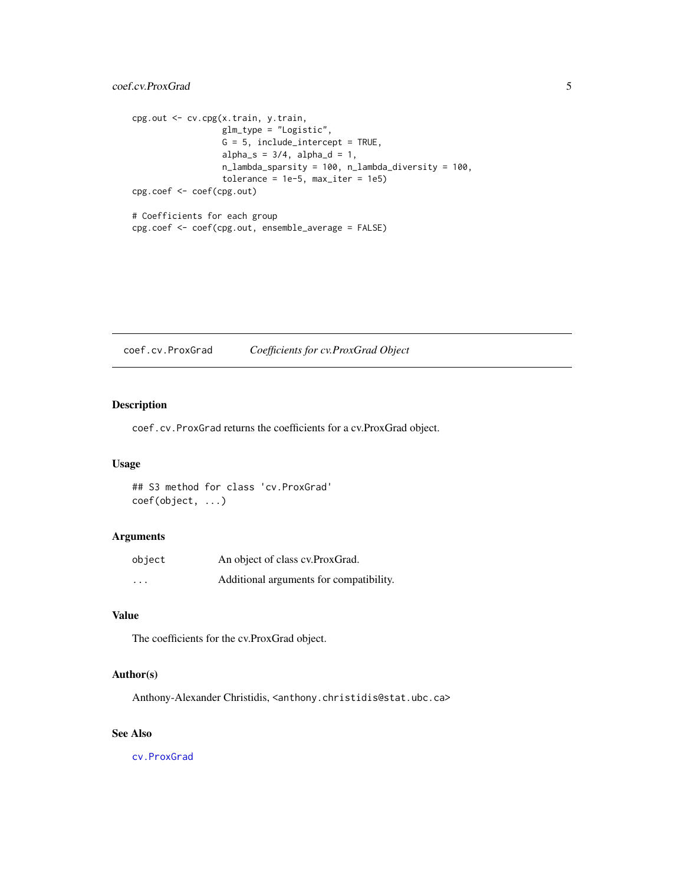```
cpg.out <- cv.cpg(x.train, y.train,
                  glm_type = "Logistic",
                  G = 5, include_intercept = TRUE,
                  alpha_s = 3/4, alpha_d = 1,
                  n_lambda_sparsity = 100, n_lambda_diversity = 100,
                  tolerance = 1e-5, max\_iter = 1e5cpg.coef <- coef(cpg.out)
# Coefficients for each group
cpg.coef <- coef(cpg.out, ensemble_average = FALSE)
```
<span id="page-4-1"></span>coef.cv.ProxGrad *Coefficients for cv.ProxGrad Object*

## Description

coef.cv.ProxGrad returns the coefficients for a cv.ProxGrad object.

#### Usage

## S3 method for class 'cv.ProxGrad' coef(object, ...)

## Arguments

| object   | An object of class cv.ProxGrad.         |
|----------|-----------------------------------------|
| $\cdots$ | Additional arguments for compatibility. |

## Value

The coefficients for the cv.ProxGrad object.

#### Author(s)

Anthony-Alexander Christidis, <anthony.christidis@stat.ubc.ca>

## See Also

[cv.ProxGrad](#page-11-1)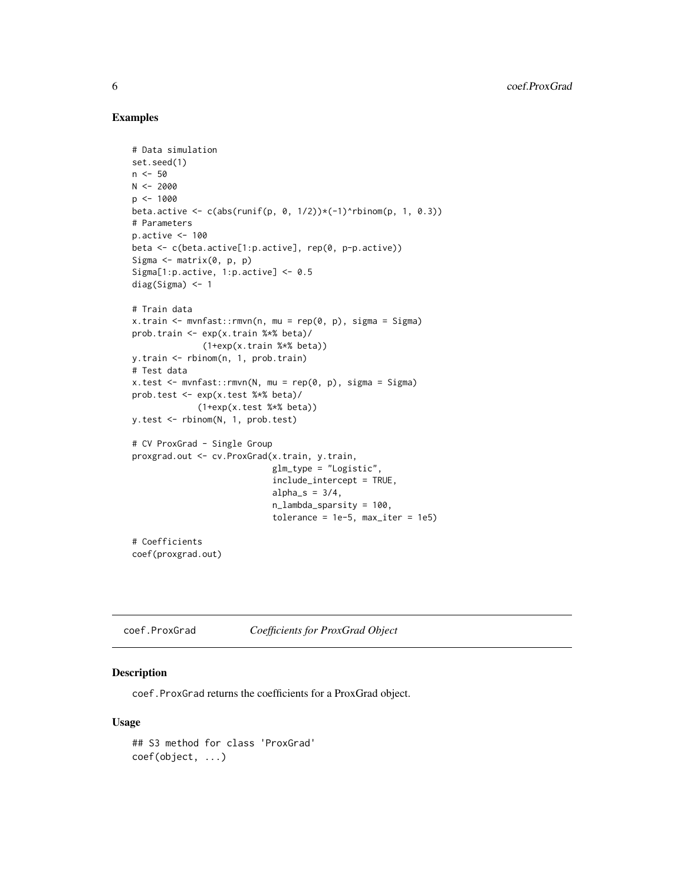#### Examples

```
# Data simulation
set.seed(1)
n < -50N < -2000p <- 1000
beta.active \leq c(abs(runif(p, 0, 1/2))*(-1)^rbinom(p, 1, 0.3))
# Parameters
p.active <- 100
beta <- c(beta.active[1:p.active], rep(0, p-p.active))
Sigma \leq matrix(0, p, p)
Sigma[1:p.active, 1:p.active] <- 0.5
diag(Sigma) <- 1
# Train data
x.train <- mvnfast::rmvn(n, mu = rep(0, p), sigma = Sigma)
prob.train <- exp(x.train %*% beta)/
              (1+exp(x.train %*% beta))
y.train <- rbinom(n, 1, prob.train)
# Test data
x.test < - mvnfast::rmvn(N, mu = rep(0, p), sigma = Signa)prob.test <- exp(x.test %*% beta)/
             (1+exp(x.test %*% beta))
y.test <- rbinom(N, 1, prob.test)
# CV ProxGrad - Single Group
proxgrad.out <- cv.ProxGrad(x.train, y.train,
                            glm_type = "Logistic",
                            include_intercept = TRUE,
                            alpha_s = 3/4,
                            n_lambda_sparsity = 100,
                            tolerance = 1e-5, max\_iter = 1e5# Coefficients
coef(proxgrad.out)
```
<span id="page-5-1"></span>coef.ProxGrad *Coefficients for ProxGrad Object*

#### Description

coef.ProxGrad returns the coefficients for a ProxGrad object.

#### Usage

## S3 method for class 'ProxGrad' coef(object, ...)

<span id="page-5-0"></span>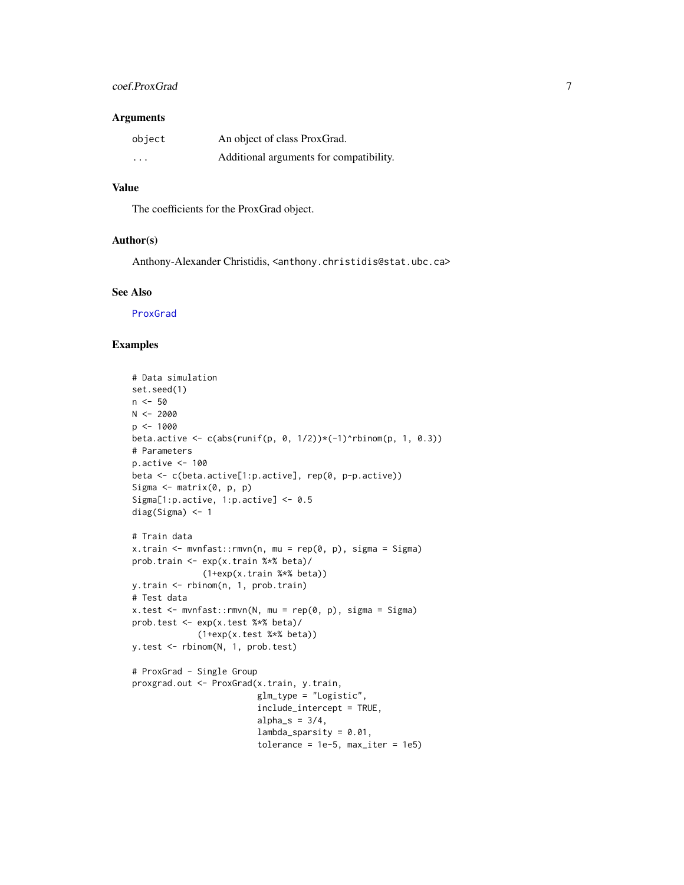## <span id="page-6-0"></span>coef.ProxGrad 7

#### Arguments

| object                  | An object of class ProxGrad.            |
|-------------------------|-----------------------------------------|
| $\cdot$ $\cdot$ $\cdot$ | Additional arguments for compatibility. |

#### Value

The coefficients for the ProxGrad object.

## Author(s)

Anthony-Alexander Christidis, <anthony.christidis@stat.ubc.ca>

## See Also

[ProxGrad](#page-20-1)

```
# Data simulation
set.seed(1)
n < -50N < -2000p <- 1000
beta.active \leq c(abs(runif(p, 0, 1/2))*(-1)^rbinom(p, 1, 0.3))
# Parameters
p.active <- 100
beta <- c(beta.active[1:p.active], rep(0, p-p.active))
Sigma <- matrix(0, p, p)
Sigma[1:p.active, 1:p.active] <- 0.5
diag(Sigma) <- 1
# Train data
x.train <- mvnfast::rmvn(n, mu = rep(0, p), sigma = Sigma)
prob.train <- exp(x.train %*% beta)/
              (1+exp(x.train %*% beta))
y.train <- rbinom(n, 1, prob.train)
# Test data
x.test < - mvnfast::rmvn(N, mu = rep(0, p), sigma = Signa)prob.test <- exp(x.test %*% beta)/
             (1+exp(x.test %*% beta))
y.test <- rbinom(N, 1, prob.test)
# ProxGrad - Single Group
proxgrad.out <- ProxGrad(x.train, y.train,
                        glm_type = "Logistic",
                         include_intercept = TRUE,
                        alpha_s = 3/4,
                        lambda_
                         tolerance = 1e-5, max\_iter = 1e5
```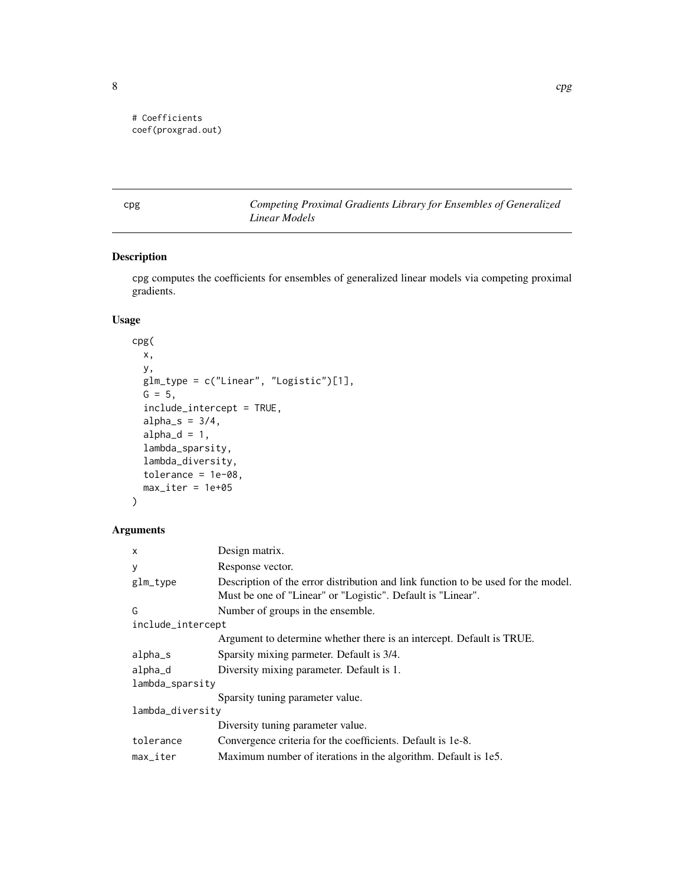```
# Coefficients
coef(proxgrad.out)
```
<span id="page-7-1"></span>cpg *Competing Proximal Gradients Library for Ensembles of Generalized Linear Models*

## Description

cpg computes the coefficients for ensembles of generalized linear models via competing proximal gradients.

## Usage

```
cpg(
 x,
 y,
 glm_type = c("Linear", "Logistic")[1],
 G = 5,
  include_intercept = TRUE,
  alpha_s = 3/4,
  alpha_d = 1,
  lambda_sparsity,
  lambda_diversity,
  tolerance = 1e-08,
 max\_iter = 1e+05)
```

| $\mathsf{x}$           | Design matrix.                                                                                                                                   |
|------------------------|--------------------------------------------------------------------------------------------------------------------------------------------------|
| У                      | Response vector.                                                                                                                                 |
| glm_type               | Description of the error distribution and link function to be used for the model.<br>Must be one of "Linear" or "Logistic". Default is "Linear". |
| G                      | Number of groups in the ensemble.                                                                                                                |
| include_intercept      |                                                                                                                                                  |
|                        | Argument to determine whether there is an intercept. Default is TRUE.                                                                            |
| alpha_s                | Sparsity mixing parmeter. Default is 3/4.                                                                                                        |
| alpha_d                | Diversity mixing parameter. Default is 1.                                                                                                        |
| lambda_sparsity        |                                                                                                                                                  |
|                        | Sparsity tuning parameter value.                                                                                                                 |
| lambda_diversity       |                                                                                                                                                  |
|                        | Diversity tuning parameter value.                                                                                                                |
| tolerance              | Convergence criteria for the coefficients. Default is 1e-8.                                                                                      |
| $max$ <sub>Liter</sub> | Maximum number of iterations in the algorithm. Default is 1e5.                                                                                   |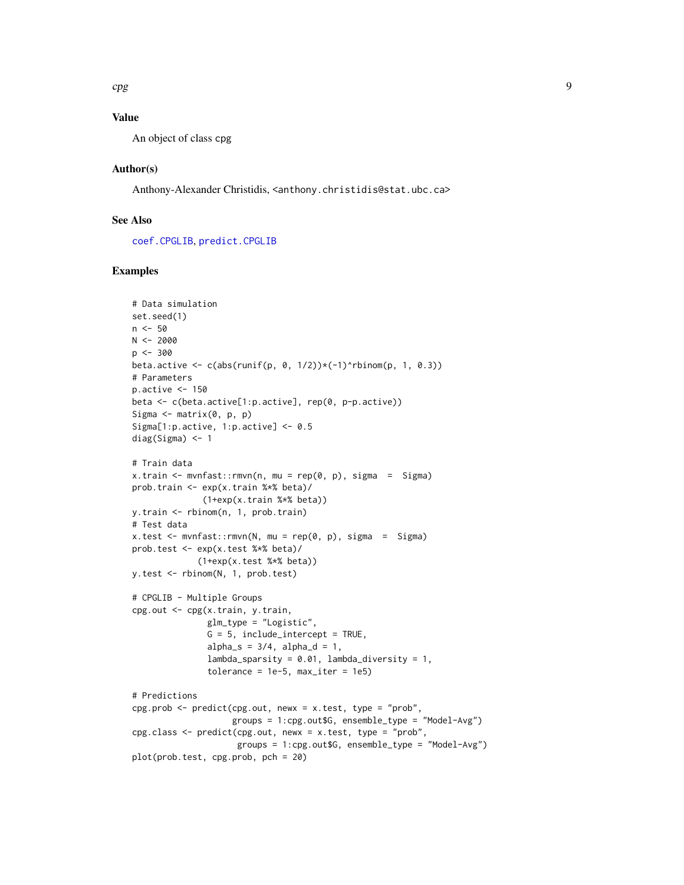## <span id="page-8-0"></span>Value

An object of class cpg

#### Author(s)

Anthony-Alexander Christidis, <anthony.christidis@stat.ubc.ca>

## See Also

[coef.CPGLIB](#page-1-1), [predict.CPGLIB](#page-13-1)

```
# Data simulation
set.seed(1)
n < -50N < -2000p <- 300
beta.active \leq c(abs(runif(p, 0, 1/2))*(-1)^rbinom(p, 1, 0.3))
# Parameters
p.active <- 150
beta <- c(beta.active[1:p.active], rep(0, p-p.active))
Sigma \leq matrix(0, p, p)
Sigma[1:p.active, 1:p.active] <- 0.5
diag(Sigma) <- 1
# Train data
x.train \leq mvnfast::rmvn(n, mu = rep(0, p), sigma = Sigma)
prob.train <- exp(x.train %*% beta)/
              (1+exp(x.train %*% beta))
y.train <- rbinom(n, 1, prob.train)
# Test data
x.test < - mvnfast::rmvn(N, mu = rep(0, p), sigma = Signa)prob.test <- exp(x.test %*% beta)/
             (1+exp(x.test %*% beta))
y.test <- rbinom(N, 1, prob.test)
# CPGLIB - Multiple Groups
cpg.out <- cpg(x.train, y.train,
               glm_type = "Logistic",
               G = 5, include_intercept = TRUE,
               alpha_s = 3/4, alpha_d = 1,
               lambda_sparsity = 0.01, lambda_diversity = 1,
               tolerance = 1e-5, max\_iter = 1e5# Predictions
cpg.prob <- predict(cpg.out, newx = x.test, type = "prob",
                    groups = 1:cpg.out$G, ensemble_type = "Model-Avg")
cpg.class <- predict(cpg.out, newx = x.test, type = "prob",
                     groups = 1:cpg.out$G, ensemble_type = "Model-Avg")
plot(prob.test, cpg.prob, pch = 20)
```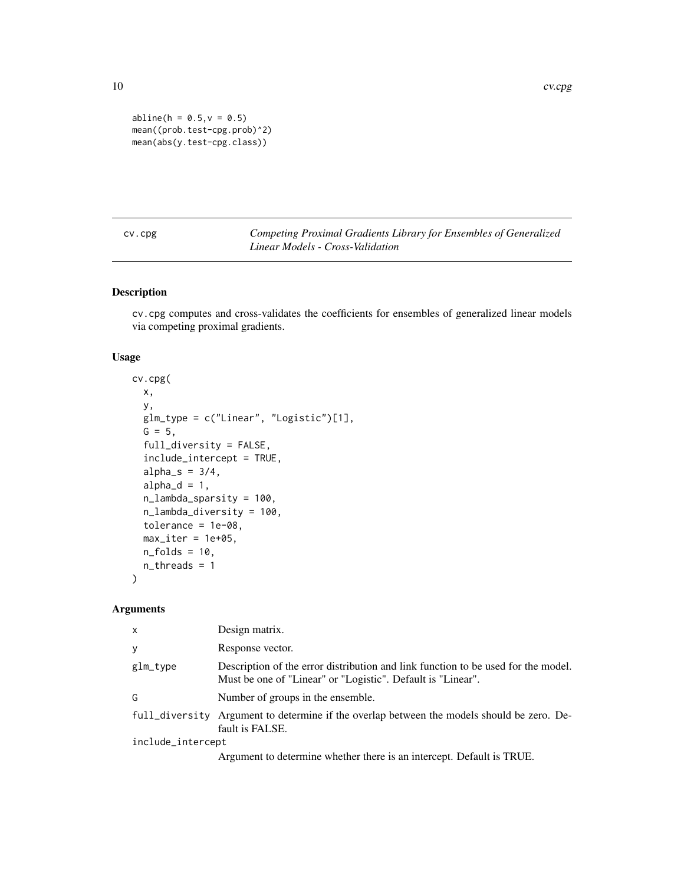10 cv.cpg

```
abline(h = 0.5, v = 0.5)mean((prob.test-cpg.prob)^2)
mean(abs(y.test-cpg.class))
```
<span id="page-9-1"></span>cv.cpg *Competing Proximal Gradients Library for Ensembles of Generalized Linear Models - Cross-Validation*

## Description

cv.cpg computes and cross-validates the coefficients for ensembles of generalized linear models via competing proximal gradients.

## Usage

```
cv.cpg(
  x,
  y,
  glm_type = c("Linear", "Logistic")[1],
 G = 5,
  full_diversity = FALSE,
  include_intercept = TRUE,
  alpha_s = 3/4,
  alpha_d = 1,
  n_lambda_sparsity = 100,
  n_lambda_diversity = 100,
  tolerance = 1e-08,
 max\_iter = 1e+05,
 n_folds = 10,
  n_threads = 1
)
```

| X                 | Design matrix.                                                                                                                                   |  |  |  |
|-------------------|--------------------------------------------------------------------------------------------------------------------------------------------------|--|--|--|
| y                 | Response vector.                                                                                                                                 |  |  |  |
| glm_type          | Description of the error distribution and link function to be used for the model.<br>Must be one of "Linear" or "Logistic". Default is "Linear". |  |  |  |
| G                 | Number of groups in the ensemble.                                                                                                                |  |  |  |
|                   | full_diversity Argument to determine if the overlap between the models should be zero. De-<br>fault is FALSE.                                    |  |  |  |
| include_intercept |                                                                                                                                                  |  |  |  |
|                   | Argument to determine whether there is an intercept. Default is TRUE.                                                                            |  |  |  |

<span id="page-9-0"></span>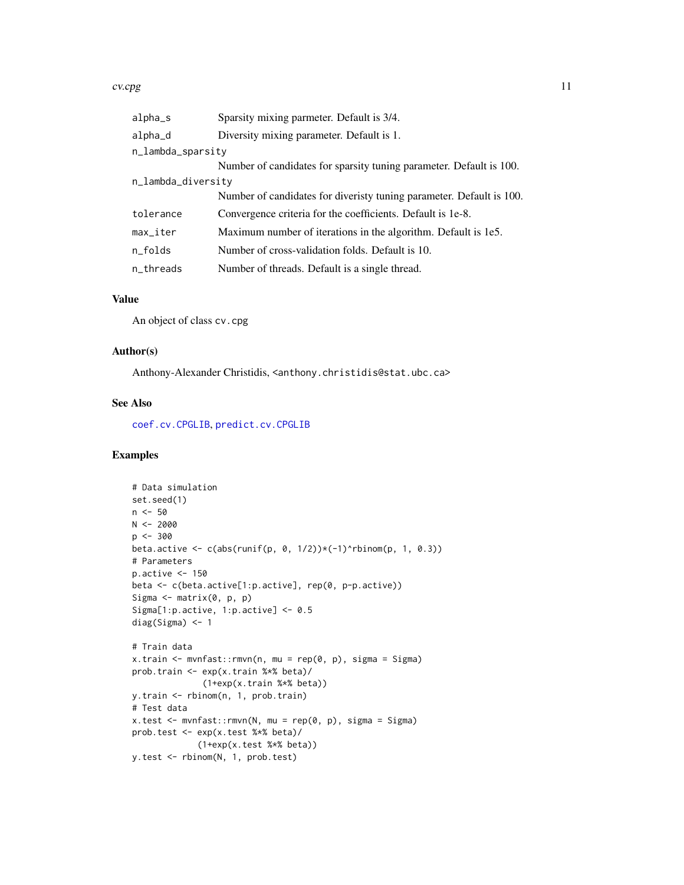#### <span id="page-10-0"></span>cv.cpg and the contract of the contract of the contract of the contract of the contract of the contract of the contract of the contract of the contract of the contract of the contract of the contract of the contract of the

| alpha_s            | Sparsity mixing parmeter. Default is 3/4.                            |
|--------------------|----------------------------------------------------------------------|
| alpha_d            | Diversity mixing parameter. Default is 1.                            |
| n_lambda_sparsity  |                                                                      |
|                    | Number of candidates for sparsity tuning parameter. Default is 100.  |
| n_lambda_diversity |                                                                      |
|                    | Number of candidates for diveristy tuning parameter. Default is 100. |
| tolerance          | Convergence criteria for the coefficients. Default is 1e-8.          |
| max_iter           | Maximum number of iterations in the algorithm. Default is 1e5.       |
| n_folds            | Number of cross-validation folds. Default is 10.                     |
| n_threads          | Number of threads. Default is a single thread.                       |

## Value

An object of class cv.cpg

#### Author(s)

Anthony-Alexander Christidis, <anthony.christidis@stat.ubc.ca>

#### See Also

[coef.cv.CPGLIB](#page-2-1), [predict.cv.CPGLIB](#page-15-1)

```
# Data simulation
set.seed(1)
n < -50N < -2000p <- 300
beta.active \leq c(abs(runif(p, 0, 1/2))*(-1)^rbinom(p, 1, 0.3))
# Parameters
p.active <- 150
beta <- c(beta.active[1:p.active], rep(0, p-p.active))
Sigma \leq matrix(0, p, p)
Sigma[1:p.active, 1:p.active] <- 0.5
diag(Sigma) <- 1
# Train data
x.train <- mvnfast::rmvn(n, mu = rep(0, p), sigma = Sigma)
prob.train <- exp(x.train %*% beta)/
              (1+exp(x.train %*% beta))
y.train <- rbinom(n, 1, prob.train)
# Test data
x.test <- mvnfast::rmvn(N, mu = rep(0, p), sigma = Sigma)
prob.test <- exp(x.test %*% beta)/
             (1+exp(x.test %*% beta))
y.test <- rbinom(N, 1, prob.test)
```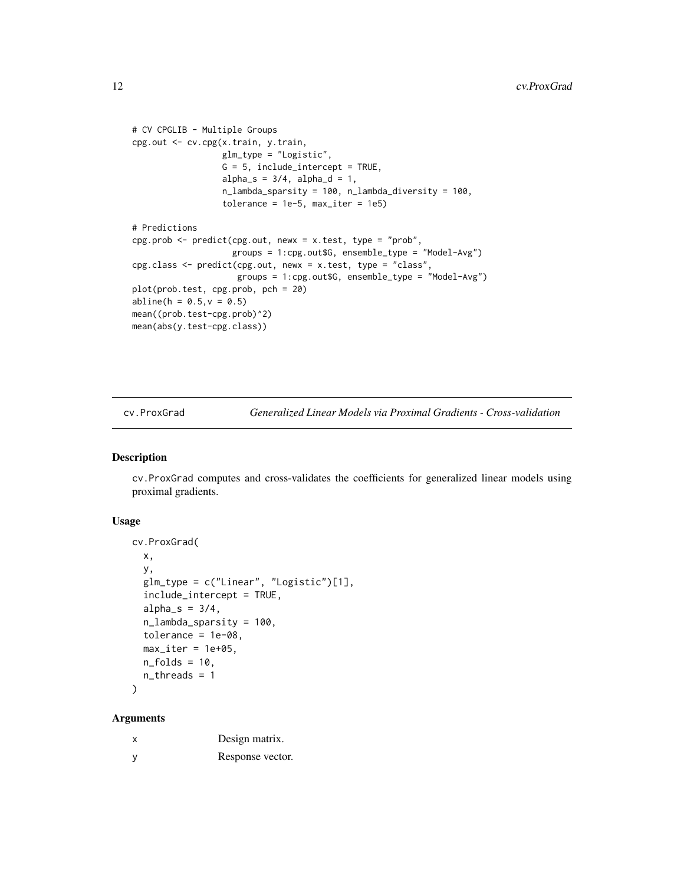```
# CV CPGLIB - Multiple Groups
cpg.out <- cv.cpg(x.train, y.train,
                  glm_type = "Logistic",
                  G = 5, include_intercept = TRUE,
                  alpha_s = 3/4, alpha_d = 1,
                  n_lambda_sparsity = 100, n_lambda_diversity = 100,
                  tolerance = 1e-5, max\_iter = 1e5# Predictions
cpg.prob <- predict(cpg.out, newx = x.test, type = "prob",
                    groups = 1:cpg.out$G, ensemble_type = "Model-Avg")
cpg.class <- predict(cpg.out, newx = x.test, type = "class",
                     groups = 1:cpg.out$G, ensemble_type = "Model-Avg")
plot(prob.test, cpg.prob, pch = 20)
abline(h = 0.5, v = 0.5)
mean((prob.test-cpg.prob)^2)
mean(abs(y.test-cpg.class))
```
<span id="page-11-1"></span>cv.ProxGrad *Generalized Linear Models via Proximal Gradients - Cross-validation*

#### Description

cv.ProxGrad computes and cross-validates the coefficients for generalized linear models using proximal gradients.

#### Usage

```
cv.ProxGrad(
 x,
 y,
 glm_type = c("Linear", "Logistic")[1],
  include_intercept = TRUE,
  alpha_s = 3/4,
 n_lambda_sparsity = 100,
  tolerance = 1e-08,
 max\_iter = 1e+05,
 n_folds = 10,
  n_threads = 1
)
```

| Design matrix.   |
|------------------|
| Response vector. |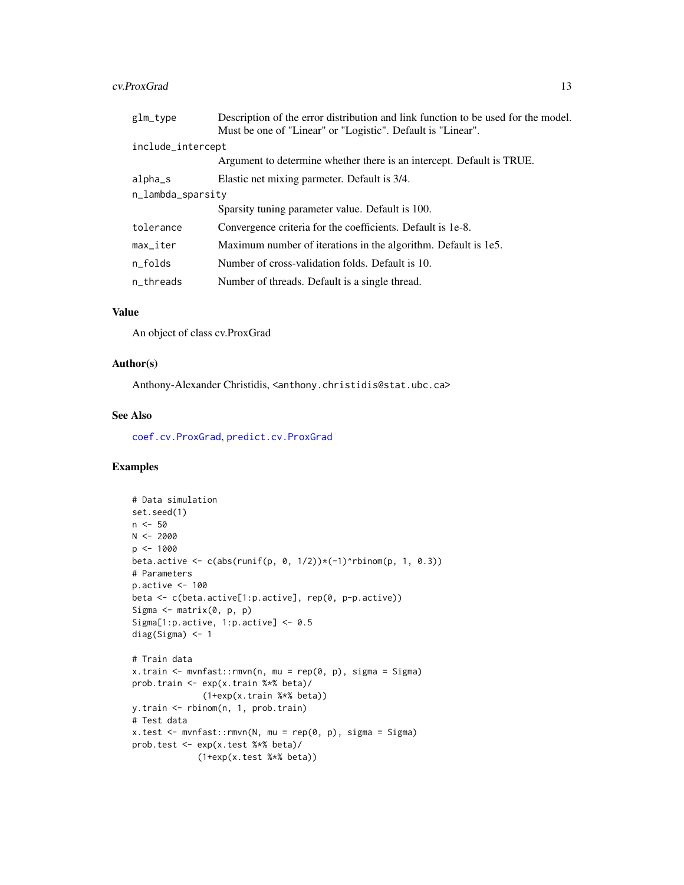#### <span id="page-12-0"></span>cv.ProxGrad 13

| glm_type               | Description of the error distribution and link function to be used for the model.<br>Must be one of "Linear" or "Logistic". Default is "Linear". |
|------------------------|--------------------------------------------------------------------------------------------------------------------------------------------------|
| include_intercept      |                                                                                                                                                  |
|                        | Argument to determine whether there is an intercept. Default is TRUE.                                                                            |
| alpha_s                | Elastic net mixing parmeter. Default is 3/4.                                                                                                     |
| n_lambda_sparsity      |                                                                                                                                                  |
|                        | Sparsity tuning parameter value. Default is 100.                                                                                                 |
| tolerance              | Convergence criteria for the coefficients. Default is 1e-8.                                                                                      |
| $max$ <sub>Liter</sub> | Maximum number of iterations in the algorithm. Default is 1e5.                                                                                   |
| n_folds                | Number of cross-validation folds. Default is 10.                                                                                                 |
| n threads              | Number of threads. Default is a single thread.                                                                                                   |
|                        |                                                                                                                                                  |

## Value

An object of class cv.ProxGrad

## Author(s)

Anthony-Alexander Christidis, <anthony.christidis@stat.ubc.ca>

#### See Also

[coef.cv.ProxGrad](#page-4-1), [predict.cv.ProxGrad](#page-17-1)

```
# Data simulation
set.seed(1)
n < -50N < -2000p <- 1000
beta.active \leq c(abs(runif(p, 0, 1/2))\star(-1)^rbinom(p, 1, 0.3))
# Parameters
p.active <- 100
beta <- c(beta.active[1:p.active], rep(0, p-p.active))
Sigma \leq matrix(0, p, p)
Sigma[1:p.active, 1:p.active] <- 0.5
diag(Sigma) <- 1
# Train data
x.train <- mvnfast::rmvn(n, mu = rep(0, p), sigma = Sigma)
prob.train <- exp(x.train %*% beta)/
              (1+exp(x.train %*% beta))
y.train <- rbinom(n, 1, prob.train)
# Test data
x.test <- mvnfast::rmvn(N, mu = rep(0, p), sigma = Sigma)
prob.test <- exp(x.test %*% beta)/
             (1+exp(x.test %*% beta))
```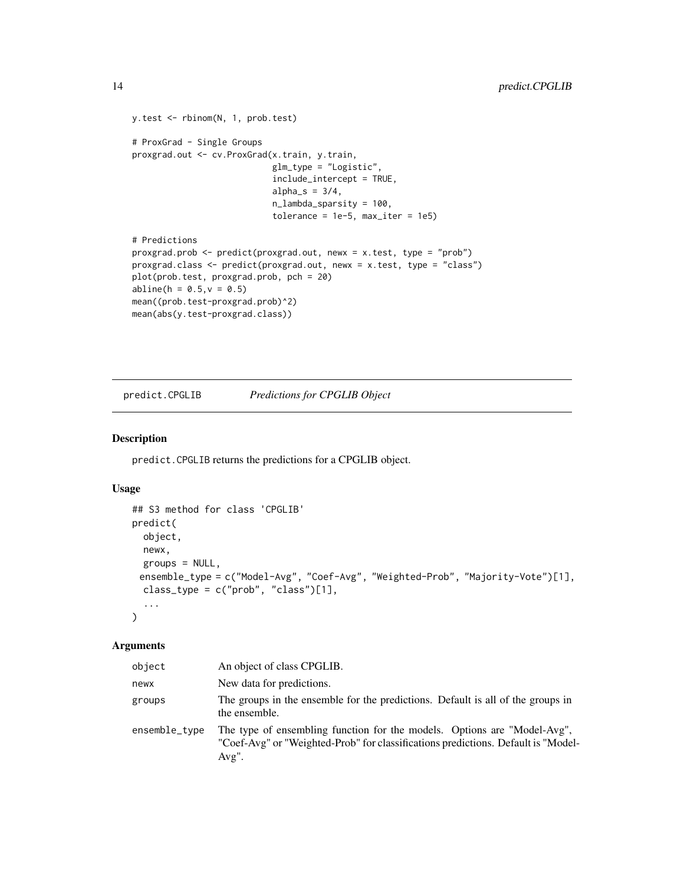```
y.test <- rbinom(N, 1, prob.test)
# ProxGrad - Single Groups
proxgrad.out <- cv.ProxGrad(x.train, y.train,
                            glm_type = "Logistic",
                            include_intercept = TRUE,
                            alpha_s = 3/4,
                            n_lambda_sparsity = 100,
                            tolerance = 1e-5, max\_iter = 1e5# Predictions
proxgrad.prob <- predict(proxgrad.out, newx = x.test, type = "prob")
proxgrad.class <- predict(proxgrad.out, newx = x.test, type = "class")
plot(prob.test, proxgrad.prob, pch = 20)
abline(h = 0.5, v = 0.5)
mean((prob.test-proxgrad.prob)^2)
mean(abs(y.test-proxgrad.class))
```
<span id="page-13-1"></span>predict.CPGLIB *Predictions for CPGLIB Object*

#### Description

predict.CPGLIB returns the predictions for a CPGLIB object.

#### Usage

```
## S3 method for class 'CPGLIB'
predict(
  object,
 newx,
 groups = NULL,ensemble_type = c("Model-Avg", "Coef-Avg", "Weighted-Prob", "Majority-Vote")[1],
 class_type = c("prob", "class")[1],...
\mathcal{L}
```

| object        | An object of class CPGLIB.                                                                                                                                                |
|---------------|---------------------------------------------------------------------------------------------------------------------------------------------------------------------------|
| newx          | New data for predictions.                                                                                                                                                 |
| groups        | The groups in the ensemble for the predictions. Default is all of the groups in<br>the ensemble.                                                                          |
| ensemble_type | The type of ensembling function for the models. Options are "Model-Avg",<br>"Coef-Avg" or "Weighted-Prob" for classifications predictions. Default is "Model-<br>$Avg"$ . |

<span id="page-13-0"></span>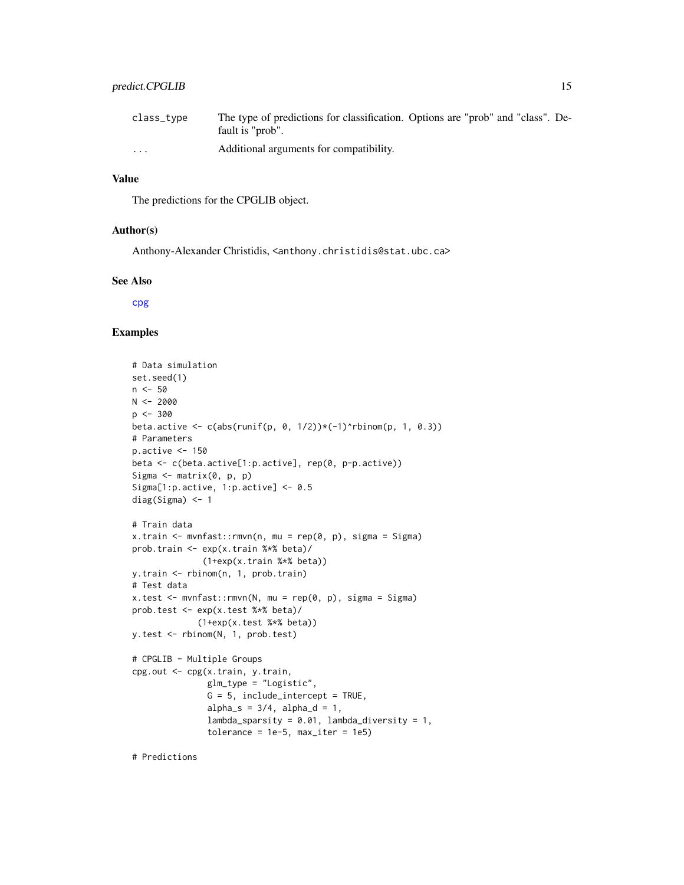## <span id="page-14-0"></span>predict.CPGLIB 15

| class_type              | The type of predictions for classification. Options are "prob" and "class". De-<br>fault is "prob". |  |  |  |
|-------------------------|-----------------------------------------------------------------------------------------------------|--|--|--|
| $\cdot$ $\cdot$ $\cdot$ | Additional arguments for compatibility.                                                             |  |  |  |

## Value

The predictions for the CPGLIB object.

#### Author(s)

Anthony-Alexander Christidis, <anthony.christidis@stat.ubc.ca>

#### See Also

[cpg](#page-7-1)

```
# Data simulation
set.seed(1)
n < -50N < -2000p < -300beta.active \leq c(abs(runif(p, 0, 1/2))*(-1)^rbinom(p, 1, 0.3))
# Parameters
p.active \leq -150beta <- c(beta.active[1:p.active], rep(0, p-p.active))
Sigma \leq matrix(0, p, p)
Sigma[1:p.active, 1:p.active] <- 0.5
diag(Sigma) <- 1
# Train data
x.train <- mvnfast::rmvn(n, mu = rep(0, p), sigma = Sigma)
prob.train <- exp(x.train %*% beta)/
              (1+exp(x.train %*% beta))
y.train <- rbinom(n, 1, prob.train)
# Test data
x.test < - mvnfast::rmvn(N, mu = rep(0, p), sigma = Signa)prob.test <- exp(x.test %*% beta)/
             (1+exp(x.test %*% beta))
y.test <- rbinom(N, 1, prob.test)
# CPGLIB - Multiple Groups
cpg.out <- cpg(x.train, y.train,
               glm_type = "Logistic",
               G = 5, include_intercept = TRUE,
               alpha_s = 3/4, alpha_d = 1,
               lambdagparsity = 0.01, lambdadiversity = 1,
               tolerance = 1e-5, max\_iter = 1e5
```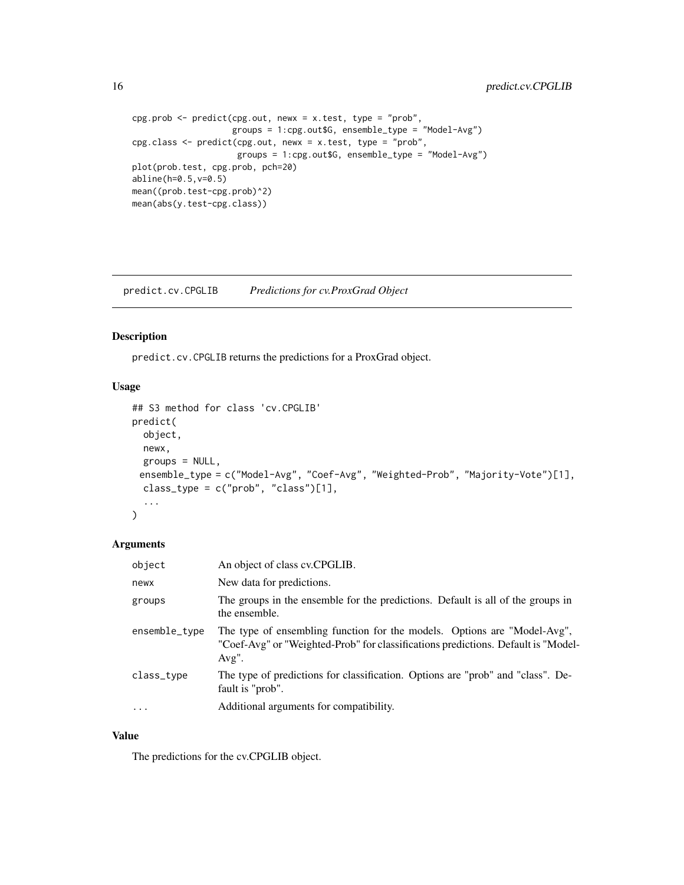```
cpg.prob <- predict(cpg.out, newx = x.test, type = "prob",
                   groups = 1:cpg.out$G, ensemble_type = "Model-Avg")
cpg.class <- predict(cpg.out, newx = x.test, type = "prob",
                    groups = 1:cpg.out$G, ensemble_type = "Model-Avg")
plot(prob.test, cpg.prob, pch=20)
abline(h=0.5,v=0.5)
mean((prob.test-cpg.prob)^2)
mean(abs(y.test-cpg.class))
```
<span id="page-15-1"></span>predict.cv.CPGLIB *Predictions for cv.ProxGrad Object*

#### Description

predict.cv.CPGLIB returns the predictions for a ProxGrad object.

## Usage

```
## S3 method for class 'cv.CPGLIB'
predict(
 object,
 newx,
 groups = NULL,ensemble_type = c("Model-Avg", "Coef-Avg", "Weighted-Prob", "Majority-Vote")[1],
  class_type = c("prob", "class")[1],...
)
```
#### Arguments

| object        | An object of class cv.CPGLIB.                                                                                                                                             |
|---------------|---------------------------------------------------------------------------------------------------------------------------------------------------------------------------|
| newx          | New data for predictions.                                                                                                                                                 |
| groups        | The groups in the ensemble for the predictions. Default is all of the groups in<br>the ensemble.                                                                          |
| ensemble_type | The type of ensembling function for the models. Options are "Model-Avg",<br>"Coef-Avg" or "Weighted-Prob" for classifications predictions. Default is "Model-<br>$Avg$ ". |
| class_type    | The type of predictions for classification. Options are "prob" and "class". De-<br>fault is "prob".                                                                       |
| $\cdots$      | Additional arguments for compatibility.                                                                                                                                   |

## Value

The predictions for the cv.CPGLIB object.

<span id="page-15-0"></span>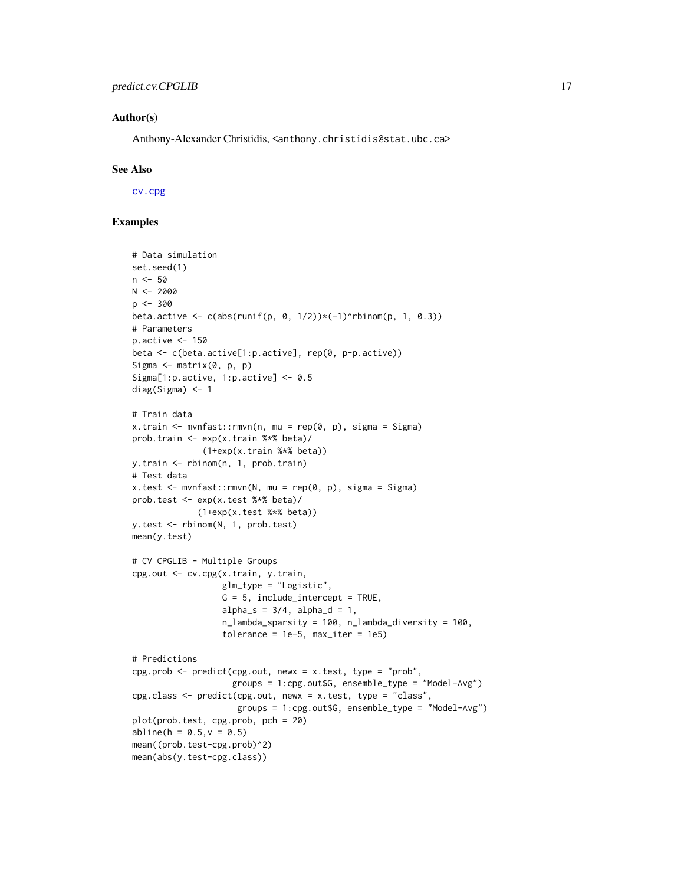#### <span id="page-16-0"></span>Author(s)

Anthony-Alexander Christidis, <anthony.christidis@stat.ubc.ca>

#### See Also

[cv.cpg](#page-9-1)

```
# Data simulation
set.seed(1)
n < -50N < -2000p <- 300
beta.active \leq c(abs(runif(p, 0, 1/2))*(-1)^rbinom(p, 1, 0.3))
# Parameters
p.active <- 150
beta <- c(beta.active[1:p.active], rep(0, p-p.active))
Sigma \leq matrix(0, p, p)
Sigma[1:p.active, 1:p.active] <- 0.5
diag(Sigma) <- 1
# Train data
x.train <- mvnfast::rmvn(n, mu = rep(0, p), sigma = Sigma)
prob.train <- exp(x.train %*% beta)/
              (1+exp(x.train %*% beta))
y.train <- rbinom(n, 1, prob.train)
# Test data
x.test <- mvnfast::rmvn(N, mu = rep(0, p), sigma = Sigma)
prob.test <- exp(x.test %*% beta)/
             (1+exp(x.test %*% beta))
y.test <- rbinom(N, 1, prob.test)
mean(y.test)
# CV CPGLIB - Multiple Groups
cpg.out <- cv.cpg(x.train, y.train,
                  glm_type = "Logistic",
                  G = 5, include_intercept = TRUE,
                  alpha_s = 3/4, alpha_d = 1,
                  n_lambda_sparsity = 100, n_lambda_diversity = 100,
                  tolerance = 1e-5, max\_iter = 1e5# Predictions
cpg.prob \leq predict(cpg.out, newx = x.test, type = "prob",
                    groups = 1:cpg.out$G, ensemble_type = "Model-Avg")
cpg.class <- predict(cpg.out, newx = x.test, type = "class",
                     groups = 1:cpg.out$G, ensemble_type = "Model-Avg")
plot(prob.test, cpg.prob, pch = 20)
abline(h = 0.5, v = 0.5)mean((prob.test-cpg.prob)^2)
mean(abs(y.test-cpg.class))
```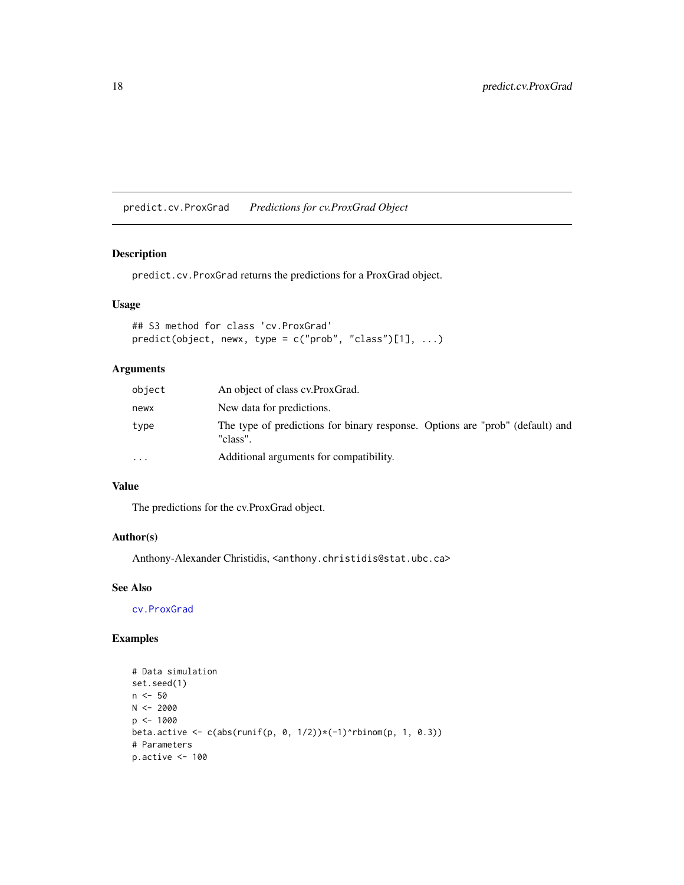<span id="page-17-1"></span><span id="page-17-0"></span>predict.cv.ProxGrad *Predictions for cv.ProxGrad Object*

#### Description

predict.cv.ProxGrad returns the predictions for a ProxGrad object.

## Usage

```
## S3 method for class 'cv.ProxGrad'
predict(object, newx, type = c("prob", "class")[1], ...)
```
## Arguments

| object   | An object of class cv. Prox Grad.                                                         |
|----------|-------------------------------------------------------------------------------------------|
| newx     | New data for predictions.                                                                 |
| type     | The type of predictions for binary response. Options are "prob" (default) and<br>"class". |
| $\cdots$ | Additional arguments for compatibility.                                                   |

#### Value

The predictions for the cv.ProxGrad object.

## Author(s)

Anthony-Alexander Christidis, <anthony.christidis@stat.ubc.ca>

## See Also

[cv.ProxGrad](#page-11-1)

```
# Data simulation
set.seed(1)
n <- 50
N < -2000p <- 1000
beta.active \leq c(abs(runif(p, 0, 1/2))*(-1)^rbinom(p, 1, 0.3))
# Parameters
p.active <- 100
```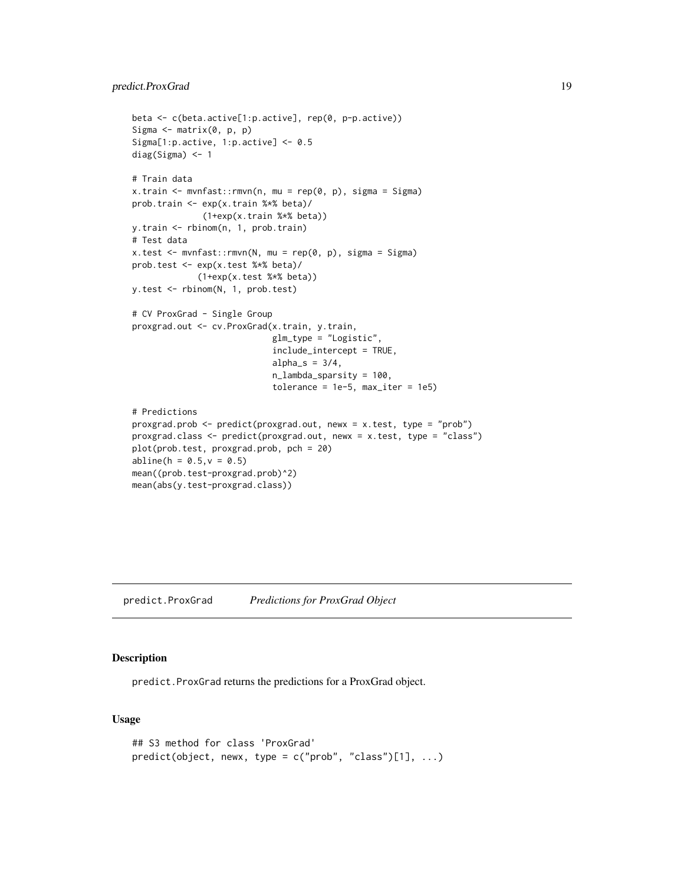## <span id="page-18-0"></span>predict.ProxGrad 19

```
beta <- c(beta.active[1:p.active], rep(0, p-p.active))
Sigma \leq matrix(0, p, p)
Sigma[1:p.active, 1:p.active] <- 0.5
diag(Sigma) <- 1
# Train data
x.train <- mvnfast::rmvn(n, mu = rep(0, p), sigma = Sigma)
prob.train <- exp(x.train %*% beta)/
              (1+exp(x.train %*% beta))
y.train <- rbinom(n, 1, prob.train)
# Test data
x.test <- mvnfast::rmvn(N, mu = rep(0, p), sigma = Sigma)
prob.test <- exp(x.test %*% beta)/
             (1+exp(x.test %*% beta))
y.test <- rbinom(N, 1, prob.test)
# CV ProxGrad - Single Group
proxgrad.out <- cv.ProxGrad(x.train, y.train,
                            glm_type = "Logistic",
                            include_intercept = TRUE,
                            alpha_s = 3/4,
                            n_lambda_sparsity = 100,
                            tolerance = 1e-5, max_iter = 1e5)
# Predictions
proxgrad.prob <- predict(proxgrad.out, newx = x.test, type = "prob")
proxgrad.class <- predict(proxgrad.out, newx = x.test, type = "class")
plot(prob.test, proxgrad.prob, pch = 20)
abline(h = 0.5, v = 0.5)mean((prob.test-proxgrad.prob)^2)
mean(abs(y.test-proxgrad.class))
```
<span id="page-18-1"></span>predict.ProxGrad *Predictions for ProxGrad Object*

#### Description

predict.ProxGrad returns the predictions for a ProxGrad object.

#### Usage

```
## S3 method for class 'ProxGrad'
predict(object, newx, type = c("prob", "class")[1], ...)
```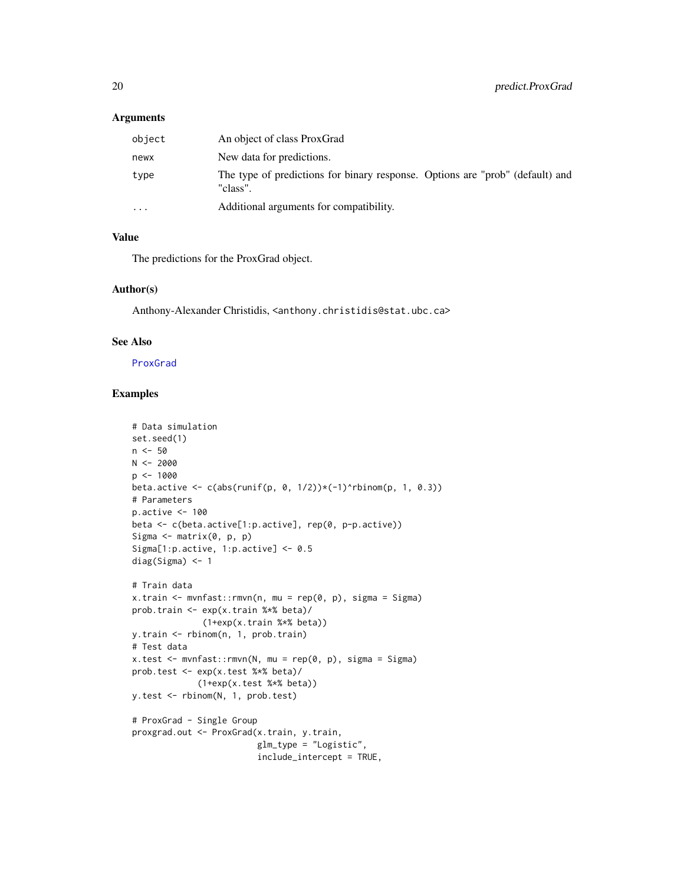#### <span id="page-19-0"></span>Arguments

| object   | An object of class ProxGrad                                                               |
|----------|-------------------------------------------------------------------------------------------|
| newx     | New data for predictions.                                                                 |
| type     | The type of predictions for binary response. Options are "prob" (default) and<br>"class". |
| $\cdots$ | Additional arguments for compatibility.                                                   |

#### Value

The predictions for the ProxGrad object.

#### Author(s)

Anthony-Alexander Christidis, <anthony.christidis@stat.ubc.ca>

#### See Also

[ProxGrad](#page-20-1)

```
# Data simulation
set.seed(1)
n < -50N < -2000p <- 1000
beta.active \leq c(abs(runif(p, 0, 1/2))*(-1)^rbinom(p, 1, 0.3))
# Parameters
p.active <- 100
beta <- c(beta.active[1:p.active], rep(0, p-p.active))
Sigma \leq matrix(0, p, p)
Sigma[1:p.active, 1:p.active] <- 0.5
diag(Sigma) <- 1
# Train data
x.train <- mvnfast::rmvn(n, mu = rep(0, p), sigma = Sigma)
prob.train <- exp(x.train %*% beta)/
              (1+exp(x.train %*% beta))
y.train <- rbinom(n, 1, prob.train)
# Test data
x.test < - mvnfast::rmv(N, mu = rep(0, p), sigma = Sigma)
prob.test <- exp(x.test %*% beta)/
             (1+exp(x.test %*% beta))
y.test <- rbinom(N, 1, prob.test)
# ProxGrad - Single Group
proxgrad.out <- ProxGrad(x.train, y.train,
                         glm_type = "Logistic",
                         include_intercept = TRUE,
```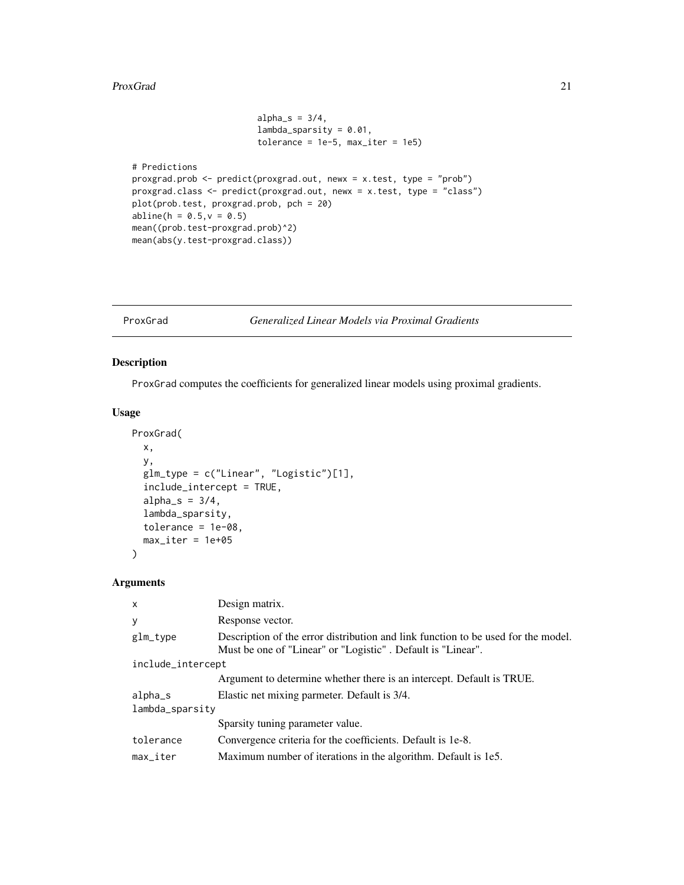#### <span id="page-20-0"></span>ProxGrad 21

```
alpha_s = 3/4,
                        lambda_
                        tolerance = 1e-5, max\_iter = 1e5# Predictions
proxgrad.prob <- predict(proxgrad.out, newx = x.test, type = "prob")
proxgrad.class <- predict(proxgrad.out, newx = x.test, type = "class")
plot(prob.test, proxgrad.prob, pch = 20)
abline(h = 0.5, v = 0.5)
mean((prob.test-proxgrad.prob)^2)
mean(abs(y.test-proxgrad.class))
```
#### <span id="page-20-1"></span>ProxGrad *Generalized Linear Models via Proximal Gradients*

## Description

ProxGrad computes the coefficients for generalized linear models using proximal gradients.

#### Usage

```
ProxGrad(
 x,
 y,
  glm_type = c("Linear", "Logistic")[1],
  include_intercept = TRUE,
  alpha_s = 3/4,
  lambda_sparsity,
  tolerance = 1e-08,
 max\_iter = 1e+05)
```

| $\mathsf{x}$      | Design matrix.                                                                                                                                   |  |
|-------------------|--------------------------------------------------------------------------------------------------------------------------------------------------|--|
| y                 | Response vector.                                                                                                                                 |  |
| glm_type          | Description of the error distribution and link function to be used for the model.<br>Must be one of "Linear" or "Logistic". Default is "Linear". |  |
| include_intercept |                                                                                                                                                  |  |
|                   | Argument to determine whether there is an intercept. Default is TRUE.                                                                            |  |
| alpha_s           | Elastic net mixing parmeter. Default is 3/4.                                                                                                     |  |
| lambda_sparsity   |                                                                                                                                                  |  |
|                   | Sparsity tuning parameter value.                                                                                                                 |  |
| tolerance         | Convergence criteria for the coefficients. Default is 1e-8.                                                                                      |  |
| max iter          | Maximum number of iterations in the algorithm. Default is 1e5.                                                                                   |  |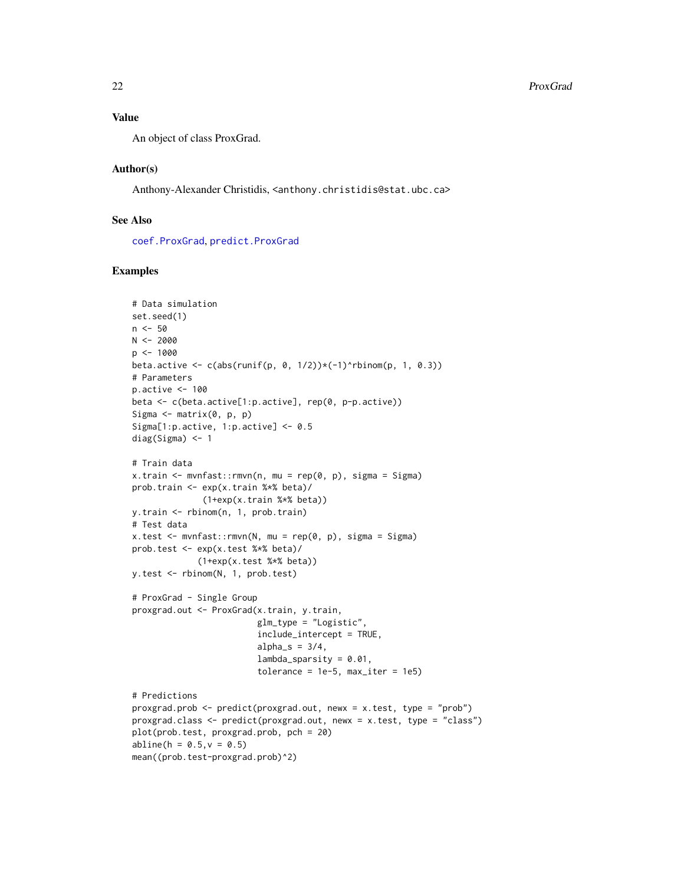## <span id="page-21-0"></span>Value

An object of class ProxGrad.

#### Author(s)

Anthony-Alexander Christidis, <anthony.christidis@stat.ubc.ca>

## See Also

[coef.ProxGrad](#page-5-1), [predict.ProxGrad](#page-18-1)

```
# Data simulation
set.seed(1)
n < -50N < -2000p <- 1000
beta.active \leq c(abs(runif(p, 0, 1/2))*(-1)^rbinom(p, 1, 0.3))
# Parameters
p.active <- 100
beta <- c(beta.active[1:p.active], rep(0, p-p.active))
Sigma \leq matrix(0, p, p)
Sigma[1:p.active, 1:p.active] <- 0.5
diag(Sigma) <- 1
# Train data
x.train <- mvnfast::rmvn(n, mu = rep(0, p), sigma = Sigma)
prob.train <- exp(x.train %*% beta)/
              (1+exp(x.train %*% beta))
y.train <- rbinom(n, 1, prob.train)
# Test data
x.test < - mvnfast::rmvn(N, mu = rep(0, p), sigma = Signa)prob.test <- exp(x.test %*% beta)/
             (1+exp(x.test %*% beta))
y.test <- rbinom(N, 1, prob.test)
# ProxGrad - Single Group
proxgrad.out <- ProxGrad(x.train, y.train,
                         glm_type = "Logistic",
                         include_intercept = TRUE,
                         alpha_s = 3/4,
                         lambda_sparsity = 0.01,
                         tolerance = 1e-5, max\_iter = 1e5# Predictions
proxgrad.prob <- predict(proxgrad.out, newx = x.test, type = "prob")
proxgrad.class <- predict(proxgrad.out, newx = x.test, type = "class")
plot(prob.test, proxgrad.prob, pch = 20)
abline(h = 0.5, v = 0.5)mean((prob.test-proxgrad.prob)^2)
```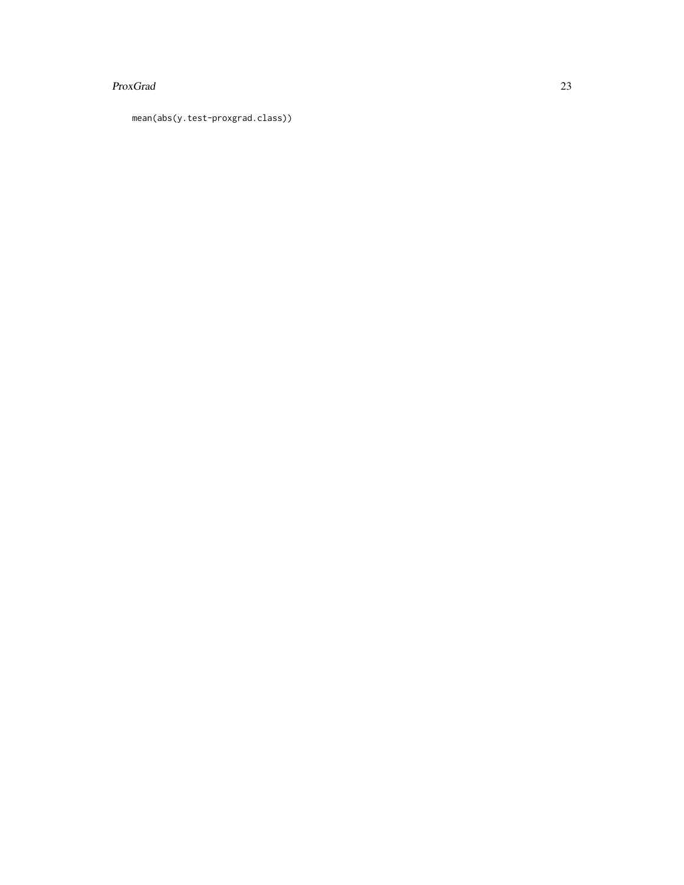#### ProxGrad 23

mean(abs(y.test-proxgrad.class))